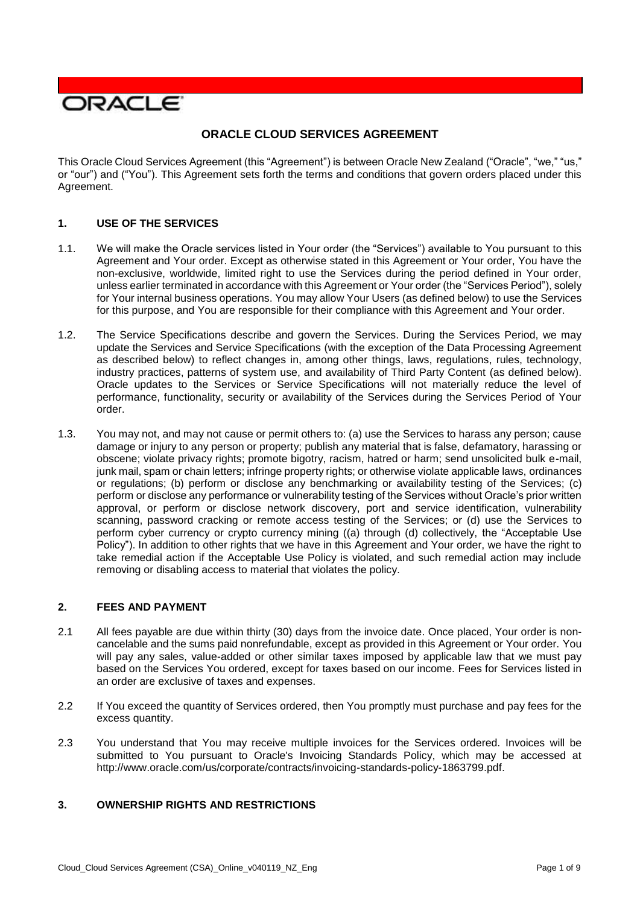

# **ORACLE CLOUD SERVICES AGREEMENT**

 This Oracle Cloud Services Agreement (this "Agreement") is between Oracle New Zealand ("Oracle", "we," "us," or "our") and ("You"). This Agreement sets forth the terms and conditions that govern orders placed under this Agreement.

## **1. USE OF THE SERVICES**

- 1.1. We will make the Oracle services listed in Your order (the "Services") available to You pursuant to this Agreement and Your order. Except as otherwise stated in this Agreement or Your order, You have the non-exclusive, worldwide, limited right to use the Services during the period defined in Your order, unless earlier terminated in accordance with this Agreement or Your order (the "Services Period"), solely for Your internal business operations. You may allow Your Users (as defined below) to use the Services for this purpose, and You are responsible for their compliance with this Agreement and Your order.
- 1.2. The Service Specifications describe and govern the Services. During the Services Period, we may update the Services and Service Specifications (with the exception of the Data Processing Agreement industry practices, patterns of system use, and availability of Third Party Content (as defined below). Oracle updates to the Services or Service Specifications will not materially reduce the level of performance, functionality, security or availability of the Services during the Services Period of Your as described below) to reflect changes in, among other things, laws, regulations, rules, technology, order.
- 1.3. You may not, and may not cause or permit others to: (a) use the Services to harass any person; cause damage or injury to any person or property; publish any material that is false, defamatory, harassing or obscene; violate privacy rights; promote bigotry, racism, hatred or harm; send unsolicited bulk e-mail, junk mail, spam or chain letters; infringe property rights; or otherwise violate applicable laws, ordinances or regulations; (b) perform or disclose any benchmarking or availability testing of the Services; (c) perform or disclose any performance or vulnerability testing of the Services without Oracle's prior written approval, or perform or disclose network discovery, port and service identification, vulnerability scanning, password cracking or remote access testing of the Services; or (d) use the Services to perform cyber currency or crypto currency mining ((a) through (d) collectively, the "Acceptable Use Policy"). In addition to other rights that we have in this Agreement and Your order, we have the right to take remedial action if the Acceptable Use Policy is violated, and such remedial action may include removing or disabling access to material that violates the policy.

#### **2. FEES AND PAYMENT**

- 2.1 All fees payable are due within thirty (30) days from the invoice date. Once placed, Your order is non- cancelable and the sums paid nonrefundable, except as provided in this Agreement or Your order. You will pay any sales, value-added or other similar taxes imposed by applicable law that we must pay based on the Services You ordered, except for taxes based on our income. Fees for Services listed in an order are exclusive of taxes and expenses.
- 2.2 If You exceed the quantity of Services ordered, then You promptly must purchase and pay fees for the excess quantity.
- 2.3 You understand that You may receive multiple invoices for the Services ordered. Invoices will be submitted to You pursuant to Oracle's Invoicing Standards Policy, which may be accessed at [http://www.oracle.com/us/corporate/contracts/invoicing-standards-policy-1863799.pdf.](http://www.oracle.com/us/corporate/contracts/invoicing-standards-policy-1863799.pdf)

## **3. OWNERSHIP RIGHTS AND RESTRICTIONS**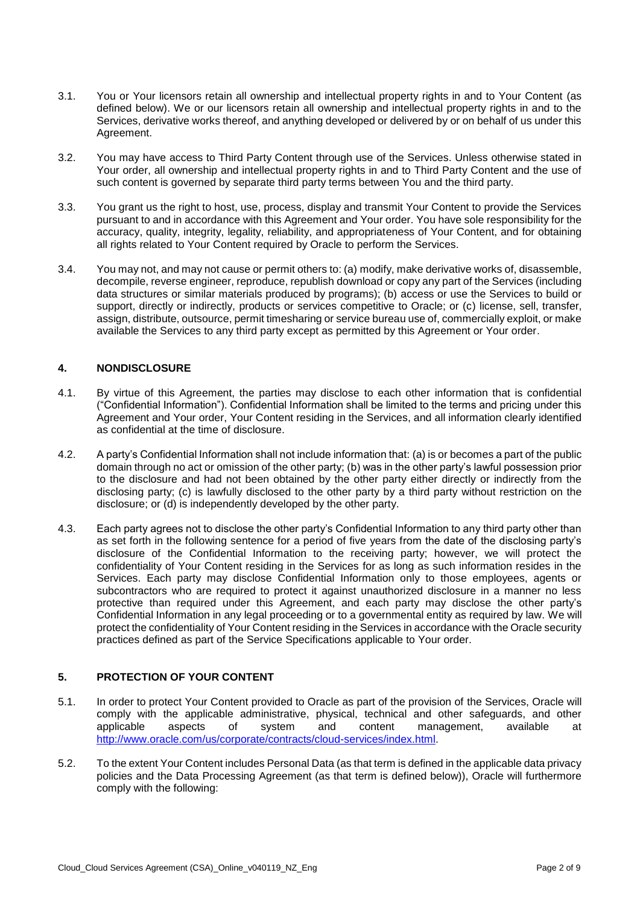- 3.1. You or Your licensors retain all ownership and intellectual property rights in and to Your Content (as defined below). We or our licensors retain all ownership and intellectual property rights in and to the Services, derivative works thereof, and anything developed or delivered by or on behalf of us under this Agreement.
- 3.2. You may have access to Third Party Content through use of the Services. Unless otherwise stated in Your order, all ownership and intellectual property rights in and to Third Party Content and the use of such content is governed by separate third party terms between You and the third party.
- 3.3. You grant us the right to host, use, process, display and transmit Your Content to provide the Services accuracy, quality, integrity, legality, reliability, and appropriateness of Your Content, and for obtaining pursuant to and in accordance with this Agreement and Your order. You have sole responsibility for the all rights related to Your Content required by Oracle to perform the Services.
- 3.4. You may not, and may not cause or permit others to: (a) modify, make derivative works of, disassemble, decompile, reverse engineer, reproduce, republish download or copy any part of the Services (including data structures or similar materials produced by programs); (b) access or use the Services to build or support, directly or indirectly, products or services competitive to Oracle; or (c) license, sell, transfer, available the Services to any third party except as permitted by this Agreement or Your order. assign, distribute, outsource, permit timesharing or service bureau use of, commercially exploit, or make

## **4. NONDISCLOSURE**

- 4.1. By virtue of this Agreement, the parties may disclose to each other information that is confidential Agreement and Your order, Your Content residing in the Services, and all information clearly identified ("Confidential Information"). Confidential Information shall be limited to the terms and pricing under this as confidential at the time of disclosure.
- 4.2. A party's Confidential Information shall not include information that: (a) is or becomes a part of the public domain through no act or omission of the other party; (b) was in the other party's lawful possession prior to the disclosure and had not been obtained by the other party either directly or indirectly from the disclosing party; (c) is lawfully disclosed to the other party by a third party without restriction on the disclosure; or (d) is independently developed by the other party.
- 4.3. Each party agrees not to disclose the other party's Confidential Information to any third party other than as set forth in the following sentence for a period of five years from the date of the disclosing party's disclosure of the Confidential Information to the receiving party; however, we will protect the confidentiality of Your Content residing in the Services for as long as such information resides in the Services. Each party may disclose Confidential Information only to those employees, agents or subcontractors who are required to protect it against unauthorized disclosure in a manner no less protective than required under this Agreement, and each party may disclose the other party's Confidential Information in any legal proceeding or to a governmental entity as required by law. We will protect the confidentiality of Your Content residing in the Services in accordance with the Oracle security practices defined as part of the Service Specifications applicable to Your order.

# **5. PROTECTION OF YOUR CONTENT**

- 5.1. In order to protect Your Content provided to Oracle as part of the provision of the Services, Oracle will comply with the applicable administrative, physical, technical and other safeguards, and other aspects applicable aspects of system and content management, available at [http://www.oracle.com/us/corporate/contracts/cloud-services/index.html.](http://www.oracle.com/us/corporate/contracts/cloud-services/index.html)
- 5.2. To the extent Your Content includes Personal Data (as that term is defined in the applicable data privacy policies and the Data Processing Agreement (as that term is defined below)), Oracle will furthermore comply with the following: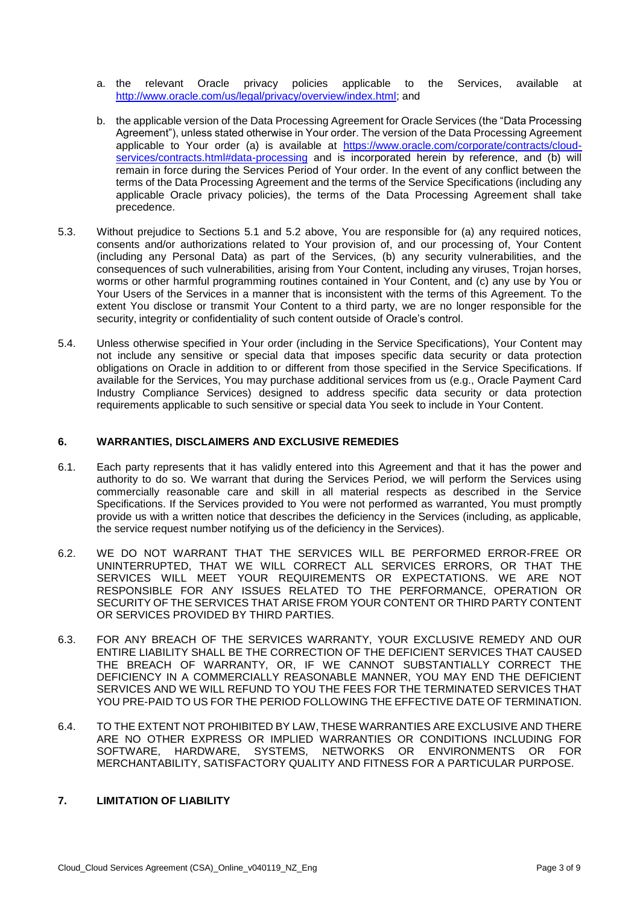- a. the relevant Oracle privacy policies applicable to [http://www.oracle.com/us/legal/privacy/overview/index.html;](http://www.oracle.com/us/legal/privacy/overview/index.html) and Services, available at
- b. the applicable version of the Data Processing Agreement for Oracle Services (the "Data Processing Agreement"), unless stated otherwise in Your order. The version of the Data Processing Agreement applicable to Your order (a) is available at [https://www.oracle.com/corporate/contracts/cloud](https://www.oracle.com/corporate/contracts/cloud-services/contracts.html#data-processing)[services/contracts.html#data-processing](https://www.oracle.com/corporate/contracts/cloud-services/contracts.html#data-processing) and is incorporated herein by reference, and (b) will remain in force during the Services Period of Your order. In the event of any conflict between the terms of the Data Processing Agreement and the terms of the Service Specifications (including any applicable Oracle privacy policies), the terms of the Data Processing Agreement shall take precedence.
- 5.3. Without prejudice to Sections 5.1 and 5.2 above, You are responsible for (a) any required notices, consents and/or authorizations related to Your provision of, and our processing of, Your Content (including any Personal Data) as part of the Services, (b) any security vulnerabilities, and the consequences of such vulnerabilities, arising from Your Content, including any viruses, Trojan horses, worms or other harmful programming routines contained in Your Content, and (c) any use by You or Your Users of the Services in a manner that is inconsistent with the terms of this Agreement. To the extent You disclose or transmit Your Content to a third party, we are no longer responsible for the security, integrity or confidentiality of such content outside of Oracle's control.
- 5.4. Unless otherwise specified in Your order (including in the Service Specifications), Your Content may not include any sensitive or special data that imposes specific data security or data protection obligations on Oracle in addition to or different from those specified in the Service Specifications. If available for the Services, You may purchase additional services from us (e.g., Oracle Payment Card Industry Compliance Services) designed to address specific data security or data protection requirements applicable to such sensitive or special data You seek to include in Your Content.

### **6. WARRANTIES, DISCLAIMERS AND EXCLUSIVE REMEDIES**

- 6.1. Each party represents that it has validly entered into this Agreement and that it has the power and authority to do so. We warrant that during the Services Period, we will perform the Services using commercially reasonable care and skill in all material respects as described in the Service Specifications. If the Services provided to You were not performed as warranted, You must promptly provide us with a written notice that describes the deficiency in the Services (including, as applicable, the service request number notifying us of the deficiency in the Services).
- 6.2. WE DO NOT WARRANT THAT THE SERVICES WILL BE PERFORMED ERROR-FREE OR UNINTERRUPTED, THAT WE WILL CORRECT ALL SERVICES ERRORS, OR THAT THE SERVICES WILL MEET YOUR REQUIREMENTS OR EXPECTATIONS. WE ARE NOT RESPONSIBLE FOR ANY ISSUES RELATED TO THE PERFORMANCE, OPERATION OR SECURITY OF THE SERVICES THAT ARISE FROM YOUR CONTENT OR THIRD PARTY CONTENT OR SERVICES PROVIDED BY THIRD PARTIES.
- 6.3. FOR ANY BREACH OF THE SERVICES WARRANTY, YOUR EXCLUSIVE REMEDY AND OUR ENTIRE LIABILITY SHALL BE THE CORRECTION OF THE DEFICIENT SERVICES THAT CAUSED THE BREACH OF WARRANTY, OR, IF WE CANNOT SUBSTANTIALLY CORRECT THE DEFICIENCY IN A COMMERCIALLY REASONABLE MANNER, YOU MAY END THE DEFICIENT SERVICES AND WE WILL REFUND TO YOU THE FEES FOR THE TERMINATED SERVICES THAT YOU PRE-PAID TO US FOR THE PERIOD FOLLOWING THE EFFECTIVE DATE OF TERMINATION.
- 6.4. TO THE EXTENT NOT PROHIBITED BY LAW, THESE WARRANTIES ARE EXCLUSIVE AND THERE ARE NO OTHER EXPRESS OR IMPLIED WARRANTIES OR CONDITIONS INCLUDING FOR SOFTWARE, HARDWARE, SYSTEMS, NETWORKS OR ENVIRONMENTS OR FOR MERCHANTABILITY, SATISFACTORY QUALITY AND FITNESS FOR A PARTICULAR PURPOSE.

## **7. LIMITATION OF LIABILITY**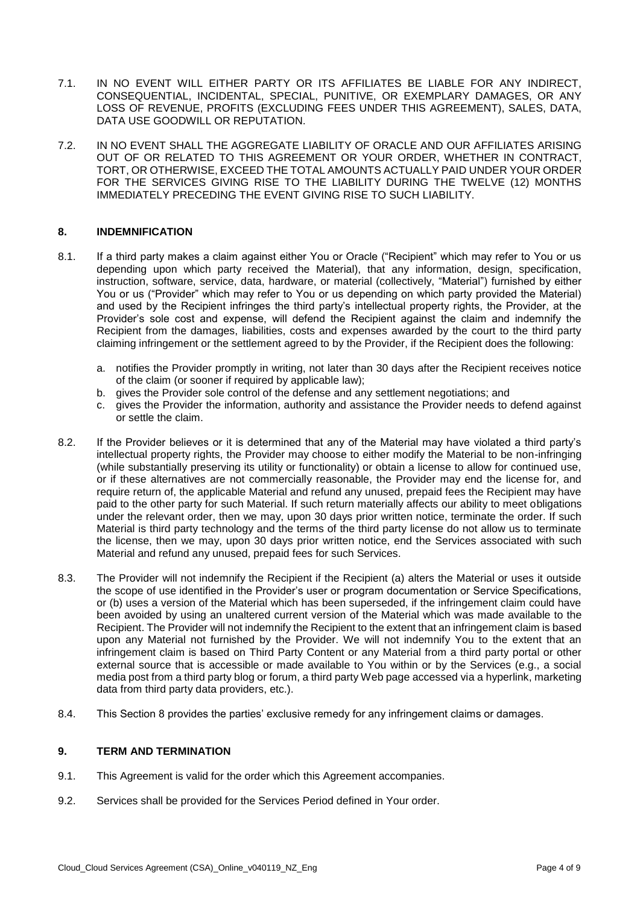- 7.1. IN NO EVENT WILL EITHER PARTY OR ITS AFFILIATES BE LIABLE FOR ANY INDIRECT, LOSS OF REVENUE, PROFITS (EXCLUDING FEES UNDER THIS AGREEMENT), SALES, DATA, CONSEQUENTIAL, INCIDENTAL, SPECIAL, PUNITIVE, OR EXEMPLARY DAMAGES, OR ANY DATA USE GOODWILL OR REPUTATION.
- 7.2. IN NO EVENT SHALL THE AGGREGATE LIABILITY OF ORACLE AND OUR AFFILIATES ARISING OUT OF OR RELATED TO THIS AGREEMENT OR YOUR ORDER, WHETHER IN CONTRACT, FOR THE SERVICES GIVING RISE TO THE LIABILITY DURING THE TWELVE (12) MONTHS TORT, OR OTHERWISE, EXCEED THE TOTAL AMOUNTS ACTUALLY PAID UNDER YOUR ORDER IMMEDIATELY PRECEDING THE EVENT GIVING RISE TO SUCH LIABILITY.

### **8. INDEMNIFICATION**

- 8.1. If a third party makes a claim against either You or Oracle ("Recipient" which may refer to You or us depending upon which party received the Material), that any information, design, specification, instruction, software, service, data, hardware, or material (collectively, "Material") furnished by either You or us ("Provider" which may refer to You or us depending on which party provided the Material) and used by the Recipient infringes the third party's intellectual property rights, the Provider, at the Provider's sole cost and expense, will defend the Recipient against the claim and indemnify the Recipient from the damages, liabilities, costs and expenses awarded by the court to the third party claiming infringement or the settlement agreed to by the Provider, if the Recipient does the following:
	- a. notifies the Provider promptly in writing, not later than 30 days after the Recipient receives notice of the claim (or sooner if required by applicable law);
	- b. gives the Provider sole control of the defense and any settlement negotiations; and
	- c. gives the Provider the information, authority and assistance the Provider needs to defend against or settle the claim.
- 8.2. If the Provider believes or it is determined that any of the Material may have violated a third party's intellectual property rights, the Provider may choose to either modify the Material to be non-infringing (while substantially preserving its utility or functionality) or obtain a license to allow for continued use, or if these alternatives are not commercially reasonable, the Provider may end the license for, and require return of, the applicable Material and refund any unused, prepaid fees the Recipient may have paid to the other party for such Material. If such return materially affects our ability to meet obligations under the relevant order, then we may, upon 30 days prior written notice, terminate the order. If such Material is third party technology and the terms of the third party license do not allow us to terminate the license, then we may, upon 30 days prior written notice, end the Services associated with such Material and refund any unused, prepaid fees for such Services.
- 8.3. The Provider will not indemnify the Recipient if the Recipient (a) alters the Material or uses it outside the scope of use identified in the Provider's user or program documentation or Service Specifications, or (b) uses a version of the Material which has been superseded, if the infringement claim could have been avoided by using an unaltered current version of the Material which was made available to the Recipient. The Provider will not indemnify the Recipient to the extent that an infringement claim is based upon any Material not furnished by the Provider. We will not indemnify You to the extent that an infringement claim is based on Third Party Content or any Material from a third party portal or other external source that is accessible or made available to You within or by the Services (e.g., a social media post from a third party blog or forum, a third party Web page accessed via a hyperlink, marketing data from third party data providers, etc.).
- 8.4. This Section 8 provides the parties' exclusive remedy for any infringement claims or damages.

#### **9. TERM AND TERMINATION**

- 9.1. This Agreement is valid for the order which this Agreement accompanies.
- 9.2. Services shall be provided for the Services Period defined in Your order.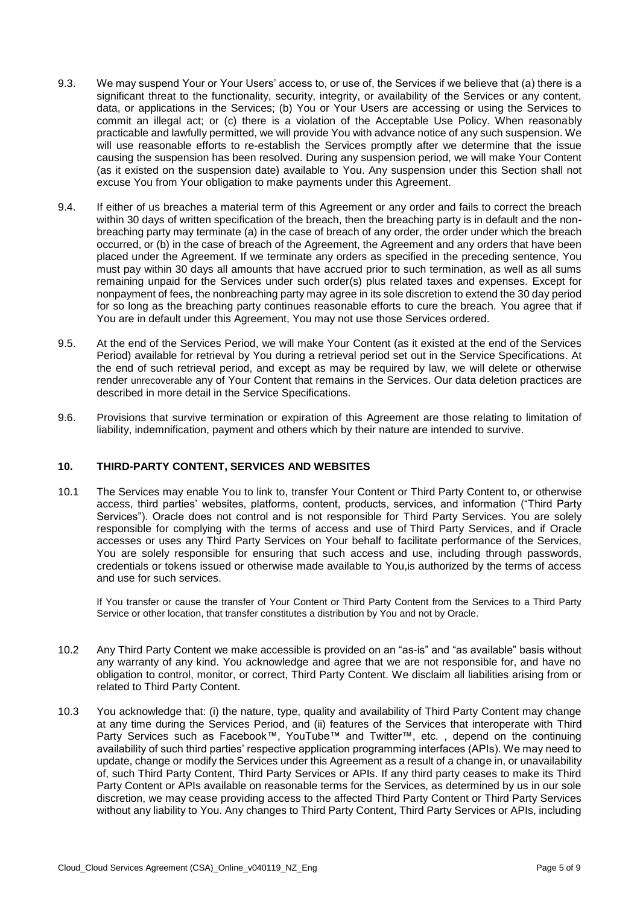- 9.3. We may suspend Your or Your Users' access to, or use of, the Services if we believe that (a) there is a significant threat to the functionality, security, integrity, or availability of the Services or any content, data, or applications in the Services; (b) You or Your Users are accessing or using the Services to commit an illegal act; or (c) there is a violation of the Acceptable Use Policy. When reasonably practicable and lawfully permitted, we will provide You with advance notice of any such suspension. We will use reasonable efforts to re-establish the Services promptly after we determine that the issue causing the suspension has been resolved. During any suspension period, we will make Your Content (as it existed on the suspension date) available to You. Any suspension under this Section shall not excuse You from Your obligation to make payments under this Agreement.
- 9.4. If either of us breaches a material term of this Agreement or any order and fails to correct the breach breaching party may terminate (a) in the case of breach of any order, the order under which the breach occurred, or (b) in the case of breach of the Agreement, the Agreement and any orders that have been placed under the Agreement. If we terminate any orders as specified in the preceding sentence, You must pay within 30 days all amounts that have accrued prior to such termination, as well as all sums remaining unpaid for the Services under such order(s) plus related taxes and expenses. Except for nonpayment of fees, the nonbreaching party may agree in its sole discretion to extend the 30 day period for so long as the breaching party continues reasonable efforts to cure the breach. You agree that if within 30 days of written specification of the breach, then the breaching party is in default and the non-You are in default under this Agreement, You may not use those Services ordered.
- 9.5. At the end of the Services Period, we will make Your Content (as it existed at the end of the Services Period) available for retrieval by You during a retrieval period set out in the Service Specifications. At the end of such retrieval period, and except as may be required by law, we will delete or otherwise render unrecoverable any of Your Content that remains in the Services. Our data deletion practices are described in more detail in the Service Specifications.
- 9.6. Provisions that survive termination or expiration of this Agreement are those relating to limitation of liability, indemnification, payment and others which by their nature are intended to survive.

### **10. THIRD-PARTY CONTENT, SERVICES AND WEBSITES**

 10.1 The Services may enable You to link to, transfer Your Content or Third Party Content to, or otherwise Services"). Oracle does not control and is not responsible for Third Party Services. You are solely responsible for complying with the terms of access and use of Third Party Services, and if Oracle accesses or uses any Third Party Services on Your behalf to facilitate performance of the Services, You are solely responsible for ensuring that such access and use, including through passwords, credentials or tokens issued or otherwise made available to You,is authorized by the terms of access access, third parties' websites, platforms, content, products, services, and information ("Third Party and use for such services.

 If You transfer or cause the transfer of Your Content or Third Party Content from the Services to a Third Party Service or other location, that transfer constitutes a distribution by You and not by Oracle.

- 10.2 Any Third Party Content we make accessible is provided on an "as-is" and "as available" basis without any warranty of any kind. You acknowledge and agree that we are not responsible for, and have no obligation to control, monitor, or correct, Third Party Content. We disclaim all liabilities arising from or related to Third Party Content.
- 10.3 You acknowledge that: (i) the nature, type, quality and availability of Third Party Content may change at any time during the Services Period, and (ii) features of the Services that interoperate with Third availability of such third parties' respective application programming interfaces (APIs). We may need to update, change or modify the Services under this Agreement as a result of a change in, or unavailability of, such Third Party Content, Third Party Services or APIs. If any third party ceases to make its Third Party Content or APIs available on reasonable terms for the Services, as determined by us in our sole discretion, we may cease providing access to the affected Third Party Content or Third Party Services without any liability to You. Any changes to Third Party Content, Third Party Services or APIs, including Party Services such as Facebook™, YouTube™ and Twitter™, etc. , depend on the continuing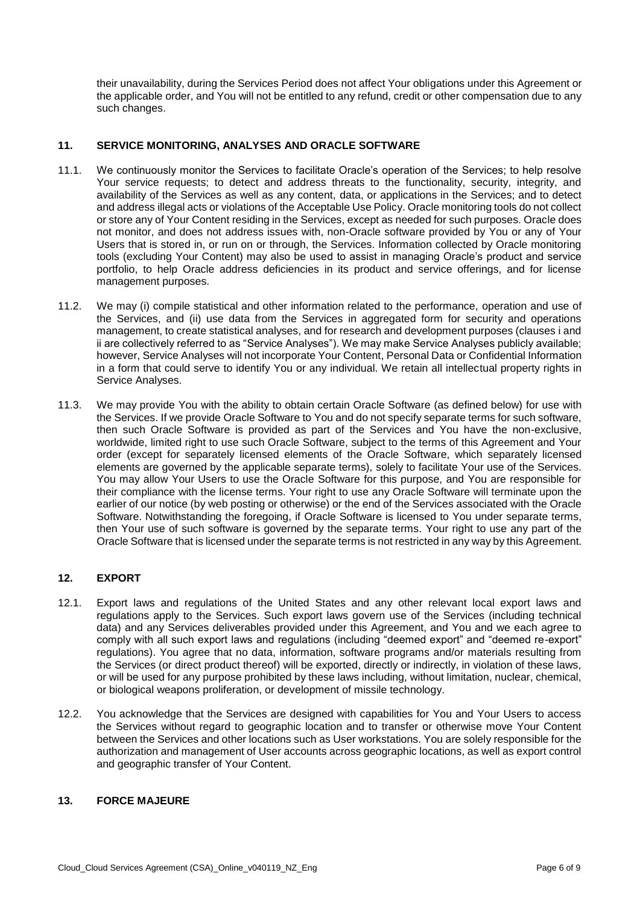their unavailability, during the Services Period does not affect Your obligations under this Agreement or the applicable order, and You will not be entitled to any refund, credit or other compensation due to any such changes.

## **11. SERVICE MONITORING, ANALYSES AND ORACLE SOFTWARE**

- 11.1. We continuously monitor the Services to facilitate Oracle's operation of the Services; to help resolve Your service requests; to detect and address threats to the functionality, security, integrity, and availability of the Services as well as any content, data, or applications in the Services; and to detect and address illegal acts or violations of the Acceptable Use Policy. Oracle monitoring tools do not collect or store any of Your Content residing in the Services, except as needed for such purposes. Oracle does not monitor, and does not address issues with, non-Oracle software provided by You or any of Your Users that is stored in, or run on or through, the Services. Information collected by Oracle monitoring tools (excluding Your Content) may also be used to assist in managing Oracle's product and service portfolio, to help Oracle address deficiencies in its product and service offerings, and for license management purposes.
- 11.2. We may (i) compile statistical and other information related to the performance, operation and use of the Services, and (ii) use data from the Services in aggregated form for security and operations management, to create statistical analyses, and for research and development purposes (clauses i and ii are collectively referred to as "Service Analyses"). We may make Service Analyses publicly available; however, Service Analyses will not incorporate Your Content, Personal Data or Confidential Information in a form that could serve to identify You or any individual. We retain all intellectual property rights in Service Analyses.
- 11.3. We may provide You with the ability to obtain certain Oracle Software (as defined below) for use with the Services. If we provide Oracle Software to You and do not specify separate terms for such software, then such Oracle Software is provided as part of the Services and You have the non-exclusive, worldwide, limited right to use such Oracle Software, subject to the terms of this Agreement and Your order (except for separately licensed elements of the Oracle Software, which separately licensed elements are governed by the applicable separate terms), solely to facilitate Your use of the Services. You may allow Your Users to use the Oracle Software for this purpose, and You are responsible for earlier of our notice (by web posting or otherwise) or the end of the Services associated with the Oracle Software. Notwithstanding the foregoing, if Oracle Software is licensed to You under separate terms, then Your use of such software is governed by the separate terms. Your right to use any part of the Oracle Software that is licensed under the separate terms is not restricted in any way by this Agreement. their compliance with the license terms. Your right to use any Oracle Software will terminate upon the

# **12. EXPORT**

- 12.1. Export laws and regulations of the United States and any other relevant local export laws and regulations apply to the Services. Such export laws govern use of the Services (including technical data) and any Services deliverables provided under this Agreement, and You and we each agree to comply with all such export laws and regulations (including "deemed export" and "deemed re-export" regulations). You agree that no data, information, software programs and/or materials resulting from or will be used for any purpose prohibited by these laws including, without limitation, nuclear, chemical, the Services (or direct product thereof) will be exported, directly or indirectly, in violation of these laws, or biological weapons proliferation, or development of missile technology.
- 12.2. You acknowledge that the Services are designed with capabilities for You and Your Users to access the Services without regard to geographic location and to transfer or otherwise move Your Content between the Services and other locations such as User workstations. You are solely responsible for the authorization and management of User accounts across geographic locations, as well as export control and geographic transfer of Your Content.

## **13. FORCE MAJEURE**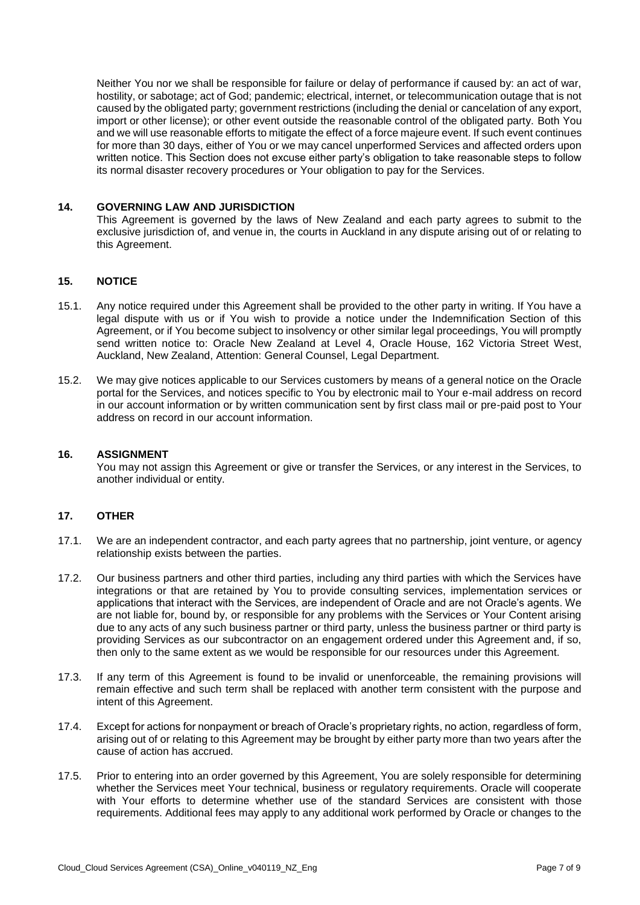Neither You nor we shall be responsible for failure or delay of performance if caused by: an act of war, hostility, or sabotage; act of God; pandemic; electrical, internet, or telecommunication outage that is not caused by the obligated party; government restrictions (including the denial or cancelation of any export, import or other license); or other event outside the reasonable control of the obligated party. Both You and we will use reasonable efforts to mitigate the effect of a force majeure event. If such event continues for more than 30 days, either of You or we may cancel unperformed Services and affected orders upon written notice. This Section does not excuse either party's obligation to take reasonable steps to follow its normal disaster recovery procedures or Your obligation to pay for the Services.

### **14. GOVERNING LAW AND JURISDICTION**

 This Agreement is governed by the laws of New Zealand and each party agrees to submit to the exclusive jurisdiction of, and venue in, the courts in Auckland in any dispute arising out of or relating to this Agreement.

### **15. NOTICE**

- 15.1. Any notice required under this Agreement shall be provided to the other party in writing. If You have a legal dispute with us or if You wish to provide a notice under the Indemnification Section of this Agreement, or if You become subject to insolvency or other similar legal proceedings, You will promptly send written notice to: Oracle New Zealand at Level 4, Oracle House, 162 Victoria Street West, Auckland, New Zealand, Attention: General Counsel, Legal Department.
- 15.2. We may give notices applicable to our Services customers by means of a general notice on the Oracle portal for the Services, and notices specific to You by electronic mail to Your e-mail address on record in our account information or by written communication sent by first class mail or pre-paid post to Your address on record in our account information.

#### **16. ASSIGNMENT**

 You may not assign this Agreement or give or transfer the Services, or any interest in the Services, to another individual or entity.

#### **17. OTHER**

- 17.1. We are an independent contractor, and each party agrees that no partnership, joint venture, or agency relationship exists between the parties.
- 17.2. Our business partners and other third parties, including any third parties with which the Services have integrations or that are retained by You to provide consulting services, implementation services or applications that interact with the Services, are independent of Oracle and are not Oracle's agents. We are not liable for, bound by, or responsible for any problems with the Services or Your Content arising due to any acts of any such business partner or third party, unless the business partner or third party is providing Services as our subcontractor on an engagement ordered under this Agreement and, if so, then only to the same extent as we would be responsible for our resources under this Agreement.
- 17.3. If any term of this Agreement is found to be invalid or unenforceable, the remaining provisions will remain effective and such term shall be replaced with another term consistent with the purpose and intent of this Agreement.
- 17.4. Except for actions for nonpayment or breach of Oracle's proprietary rights, no action, regardless of form, arising out of or relating to this Agreement may be brought by either party more than two years after the cause of action has accrued.
- 17.5. Prior to entering into an order governed by this Agreement, You are solely responsible for determining whether the Services meet Your technical, business or regulatory requirements. Oracle will cooperate with Your efforts to determine whether use of the standard Services are consistent with those requirements. Additional fees may apply to any additional work performed by Oracle or changes to the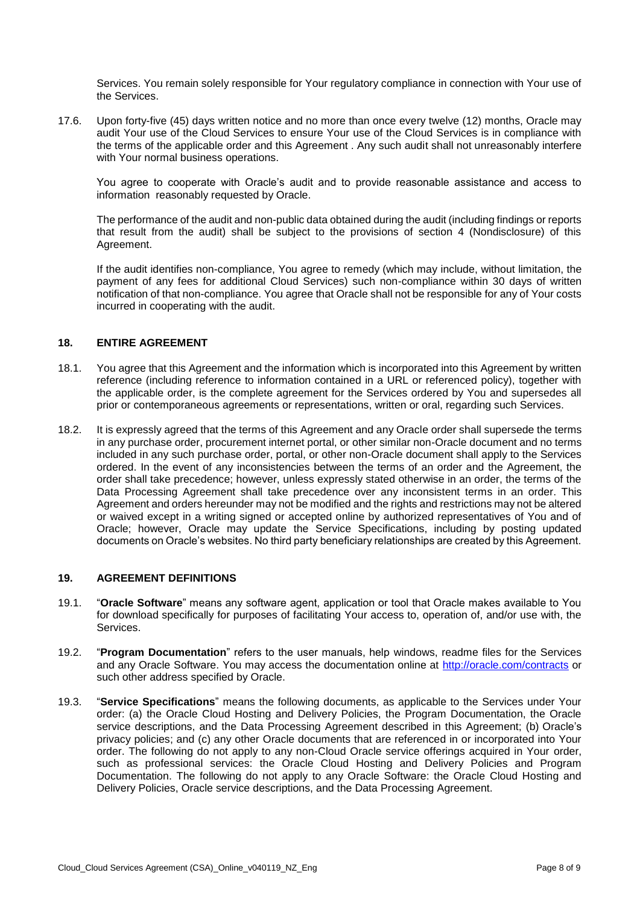Services. You remain solely responsible for Your regulatory compliance in connection with Your use of the Services.

 17.6. Upon forty-five (45) days written notice and no more than once every twelve (12) months, Oracle may audit Your use of the Cloud Services to ensure Your use of the Cloud Services is in compliance with the terms of the applicable order and this Agreement . Any such audit shall not unreasonably interfere with Your normal business operations.

You agree to cooperate with Oracle's audit and to provide reasonable assistance and access to information reasonably requested by Oracle.

 The performance of the audit and non-public data obtained during the audit (including findings or reports that result from the audit) shall be subject to the provisions of section 4 (Nondisclosure) of this Agreement.

 If the audit identifies non-compliance, You agree to remedy (which may include, without limitation, the payment of any fees for additional Cloud Services) such non-compliance within 30 days of written notification of that non-compliance. You agree that Oracle shall not be responsible for any of Your costs incurred in cooperating with the audit.

## **18. ENTIRE AGREEMENT**

- 18.1. You agree that this Agreement and the information which is incorporated into this Agreement by written the applicable order, is the complete agreement for the Services ordered by You and supersedes all reference (including reference to information contained in a URL or referenced policy), together with prior or contemporaneous agreements or representations, written or oral, regarding such Services.
- 18.2. It is expressly agreed that the terms of this Agreement and any Oracle order shall supersede the terms in any purchase order, procurement internet portal, or other similar non-Oracle document and no terms included in any such purchase order, portal, or other non-Oracle document shall apply to the Services ordered. In the event of any inconsistencies between the terms of an order and the Agreement, the order shall take precedence; however, unless expressly stated otherwise in an order, the terms of the Data Processing Agreement shall take precedence over any inconsistent terms in an order. This Agreement and orders hereunder may not be modified and the rights and restrictions may not be altered or waived except in a writing signed or accepted online by authorized representatives of You and of Oracle; however, Oracle may update the Service Specifications, including by posting updated documents on Oracle's websites. No third party beneficiary relationships are created by this Agreement.

## **19. AGREEMENT DEFINITIONS**

- 19.1. "**Oracle Software**" means any software agent, application or tool that Oracle makes available to You for download specifically for purposes of facilitating Your access to, operation of, and/or use with, the Services.
- 19.2. "**Program Documentation**" refers to the user manuals, help windows, readme files for the Services and any Oracle Software. You may access the documentation online at<http://oracle.com/contracts>or such other address specified by Oracle.
- 19.3. "**Service Specifications**" means the following documents, as applicable to the Services under Your order: (a) the Oracle Cloud Hosting and Delivery Policies, the Program Documentation, the Oracle privacy policies; and (c) any other Oracle documents that are referenced in or incorporated into Your order. The following do not apply to any non-Cloud Oracle service offerings acquired in Your order, such as professional services: the Oracle Cloud Hosting and Delivery Policies and Program Documentation. The following do not apply to any Oracle Software: the Oracle Cloud Hosting and Delivery Policies, Oracle service descriptions, and the Data Processing Agreement. service descriptions, and the Data Processing Agreement described in this Agreement; (b) Oracle's